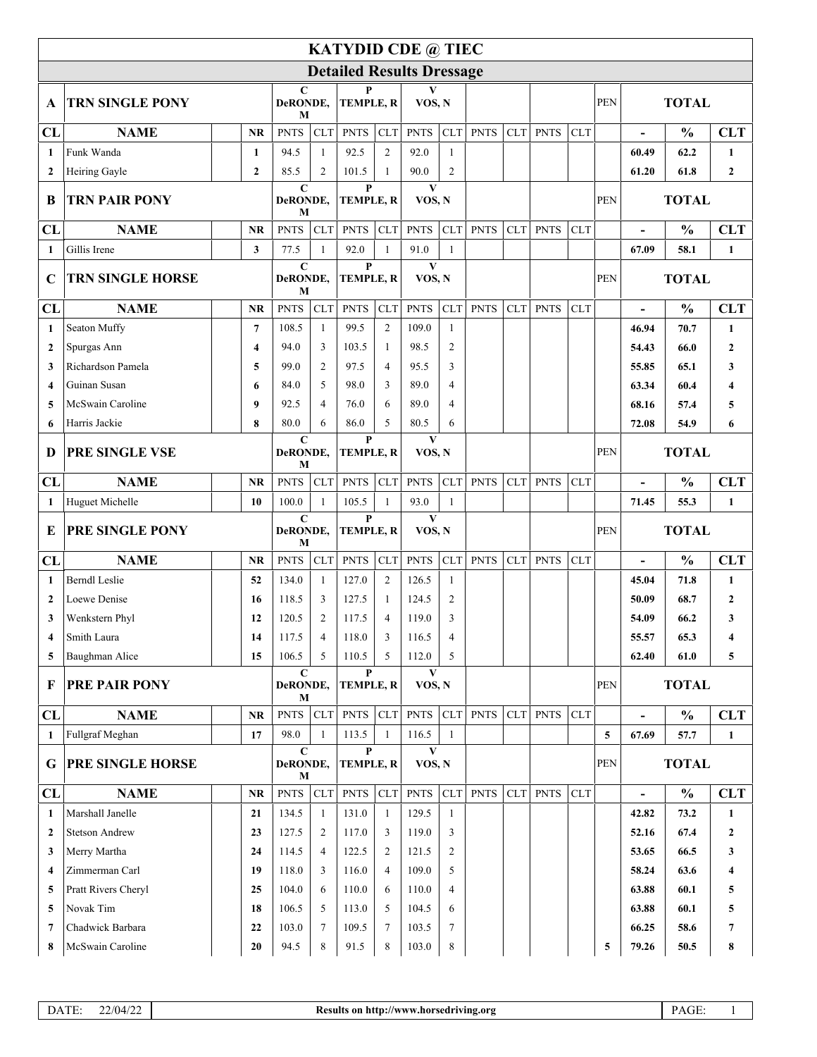| <b>KATYDID CDE @ TIEC</b>        |                         |                |                    |                                                  |                       |                                                     |                        |                        |             |            |             |              |            |                          |               |                  |
|----------------------------------|-------------------------|----------------|--------------------|--------------------------------------------------|-----------------------|-----------------------------------------------------|------------------------|------------------------|-------------|------------|-------------|--------------|------------|--------------------------|---------------|------------------|
| <b>Detailed Results Dressage</b> |                         |                |                    |                                                  |                       |                                                     |                        |                        |             |            |             |              |            |                          |               |                  |
| A                                | <b>TRN SINGLE PONY</b>  |                | C<br>DeRONDE,<br>M |                                                  | P<br><b>TEMPLE, R</b> |                                                     | VOS, N                 |                        |             |            |             |              | PEN        | <b>TOTAL</b>             |               |                  |
| CL                               | <b>NAME</b>             | <b>NR</b>      | <b>PNTS</b>        | <b>CLT</b>                                       | <b>PNTS</b>           | CLT                                                 | <b>PNTS</b>            | CLT                    | <b>PNTS</b> | <b>CLT</b> | <b>PNTS</b> | <b>CLT</b>   |            | $\blacksquare$           | $\frac{0}{0}$ | <b>CLT</b>       |
| $\mathbf{1}$                     | Funk Wanda              | $\mathbf{1}$   | 94.5               | $\mathbf{1}$                                     | 92.5                  | 2                                                   | 92.0                   | $\mathbf{1}$           |             |            |             |              |            | 60.49                    | 62.2          | $\mathbf{1}$     |
| $\mathbf{2}$                     | Heiring Gayle           | $\overline{2}$ | 85.5               | 2                                                | 101.5                 | $\mathbf{1}$                                        | 90.0                   | $\mathfrak{2}$         |             |            |             |              |            | 61.20                    | 61.8          | $\overline{2}$   |
| B                                | TRN PAIR PONY           |                |                    | C<br>DeRONDE,<br>M                               |                       | P<br><b>TEMPLE, R</b>                               |                        | V<br>VOS, N            |             |            |             |              |            | <b>TOTAL</b>             |               |                  |
| CL                               | <b>NAME</b>             | <b>NR</b>      | <b>PNTS</b>        | <b>CLT</b>                                       | <b>PNTS</b>           | <b>CLT</b>                                          | <b>PNTS</b>            | <b>CLT</b>             | <b>PNTS</b> | <b>CLT</b> | <b>PNTS</b> | <b>CLT</b>   |            | $\blacksquare$           | $\frac{0}{0}$ | <b>CLT</b>       |
| $\mathbf{1}$                     | Gillis Irene            | 3              | 77.5               | $\mathbf{1}$                                     | 92.0                  | $\mathbf{1}$                                        | 91.0                   | $\mathbf{1}$           |             |            |             |              |            | 67.09                    | 58.1          | $\mathbf{1}$     |
| $\mathbf C$                      | <b>TRN SINGLE HORSE</b> |                |                    | $\mathbf C$<br>DeRONDE,<br>М                     |                       | $\mathbf{P}$<br>TEMPLE, R                           |                        | $\mathbf{V}$<br>VOS, N |             |            |             |              |            | <b>TOTAL</b>             |               |                  |
| CL                               | <b>NAME</b>             | <b>NR</b>      | <b>PNTS</b>        | <b>CLT</b>                                       | <b>PNTS</b>           | <b>CLT</b>                                          | <b>PNTS</b>            | CLT                    | <b>PNTS</b> | CLT        | <b>PNTS</b> | <b>CLT</b>   |            | $\overline{\phantom{a}}$ | $\frac{0}{0}$ | <b>CLT</b>       |
| 1                                | Seaton Muffy            | $\overline{7}$ | 108.5              | $\mathbf{1}$                                     | 99.5                  | $\overline{2}$                                      | 109.0                  | $\mathbf{1}$           |             |            |             |              |            | 46.94                    | 70.7          | $\mathbf{1}$     |
| $\overline{2}$                   | Spurgas Ann             | 4              | 94.0               | 3                                                | 103.5                 | -1                                                  | 98.5                   | $\mathfrak{2}$         |             |            |             |              |            | 54.43                    | 66.0          | $\boldsymbol{2}$ |
| 3                                | Richardson Pamela       | 5              | 99.0               | $\overline{c}$                                   | 97.5                  | $\overline{4}$                                      | 95.5                   | 3                      |             |            |             |              |            | 55.85                    | 65.1          | 3                |
| $\boldsymbol{4}$                 | Guinan Susan            | 6              | 84.0               | 5                                                | 98.0                  | 3                                                   | 89.0                   | $\overline{4}$         |             |            |             |              |            | 63.34                    | 60.4          | 4                |
| 5                                | McSwain Caroline        | 9              | 92.5               | 4                                                | 76.0                  | 6                                                   | 89.0                   | 4                      |             |            |             |              |            | 68.16                    | 57.4          | 5                |
| 6                                | Harris Jackie           | 8              | 80.0               | 6                                                | 86.0<br>P             | 5                                                   | 80.5                   | 6                      |             |            |             |              |            | 72.08                    | 54.9          | 6                |
| D                                | PRE SINGLE VSE          |                |                    | $\mathbf C$<br>DeRONDE,<br><b>TEMPLE, R</b><br>M |                       |                                                     | $\mathbf{V}$<br>VOS, N |                        |             |            |             |              | <b>PEN</b> | <b>TOTAL</b>             |               |                  |
| CL                               | <b>NAME</b>             | <b>NR</b>      | <b>PNTS</b>        | <b>CLT</b>                                       | <b>PNTS</b>           | <b>CLT</b>                                          | <b>PNTS</b>            | <b>CLT</b>             | <b>PNTS</b> | <b>CLT</b> | <b>PNTS</b> | <b>CLT</b>   |            |                          | $\frac{0}{0}$ | <b>CLT</b>       |
| 1                                | Huguet Michelle         | 10             | 100.0              | $\mathbf{1}$                                     | 105.5                 | $\mathbf{1}$                                        | 93.0                   | $\mathbf{1}$           |             |            |             |              |            | 71.45                    | 55.3          | $\mathbf{1}$     |
| E                                | PRE SINGLE PONY         |                |                    | $\mathbf C$<br>DeRONDE,<br>М                     |                       | $\mathbf{P}$<br>$\mathbf{V}$<br>TEMPLE, R<br>VOS, N |                        |                        |             |            | <b>PEN</b>  | <b>TOTAL</b> |            |                          |               |                  |
| CL                               | <b>NAME</b>             | <b>NR</b>      | <b>PNTS</b>        | <b>CLT</b>                                       | <b>PNTS</b>           | <b>CLT</b>                                          | <b>PNTS</b>            | CLT                    | <b>PNTS</b> | CLT        | <b>PNTS</b> | <b>CLT</b>   |            | $\blacksquare$           | $\frac{0}{0}$ | <b>CLT</b>       |
| 1                                | <b>Berndl</b> Leslie    | 52             | 134.0              | 1                                                | 127.0                 | $\overline{2}$                                      | 126.5                  | $\mathbf{1}$           |             |            |             |              |            | 45.04                    | 71.8          | $\mathbf{1}$     |
| $\overline{2}$                   | Loewe Denise            | 16             | 118.5              | 3                                                | 127.5                 | -1                                                  | 124.5                  | $\mathfrak{2}$         |             |            |             |              |            | 50.09                    | 68.7          | $\boldsymbol{2}$ |
| 3                                | Wenkstern Phyl          | 12             | 120.5              | $\overline{c}$                                   | 117.5                 | 4                                                   | 119.0                  | 3                      |             |            |             |              |            | 54.09                    | 66.2          | 3                |
| 4                                | Smith Laura             | 14             | 117.5              | 4                                                | 118.0                 | 3                                                   | 116.5                  | $\overline{4}$         |             |            |             |              |            | 55.57                    | 65.3          | 4                |
| 5                                | Baughman Alice          | 15             | 106.5              | 5                                                | 110.5                 | 5                                                   | 112.0                  | 5                      |             |            |             |              |            | 62.40                    | 61.0          | 5                |
| F                                | PRE PAIR PONY           |                |                    | $\mathbf C$<br>DeRONDE,<br>М                     |                       | P<br><b>TEMPLE, R</b>                               |                        | V<br>VOS, N            |             |            |             |              | <b>PEN</b> |                          | <b>TOTAL</b>  |                  |
| CL                               | <b>NAME</b>             | <b>NR</b>      | <b>PNTS</b>        | <b>CLT</b>                                       | <b>PNTS</b>           | <b>CLT</b>                                          | <b>PNTS</b>            | <b>CLT</b>             | <b>PNTS</b> | CLT        | <b>PNTS</b> | <b>CLT</b>   |            |                          | $\frac{0}{0}$ | <b>CLT</b>       |
| $\mathbf{1}$                     | Fullgraf Meghan         | 17             | 98.0               | $\mathbf{1}$                                     | 113.5                 | $\mathbf{1}$                                        | 116.5                  | 1                      |             |            |             |              | 5          | 67.69                    | 57.7          | $\mathbf{1}$     |
| G                                | PRE SINGLE HORSE        |                |                    | $\mathbf C$<br>DeRONDE,<br>М                     |                       | $\mathbf{P}$<br>TEMPLE, R                           |                        | $\mathbf{V}$<br>VOS, N |             |            |             |              |            | <b>TOTAL</b>             |               |                  |
| CL                               | <b>NAME</b>             | NR             | <b>PNTS</b>        | <b>CLT</b>                                       | <b>PNTS</b>           | CLT                                                 | <b>PNTS</b>            | <b>CLT</b>             | <b>PNTS</b> | CLT        | <b>PNTS</b> | <b>CLT</b>   |            | $\overline{a}$           | $\frac{0}{0}$ | <b>CLT</b>       |
| $\mathbf{1}$                     | Marshall Janelle        | 21             | 134.5              | $\mathbf{1}$                                     | 131.0                 | $\mathbf{1}$                                        | 129.5                  | $\mathbf{1}$           |             |            |             |              |            | 42.82                    | 73.2          | $\mathbf{1}$     |
| $\overline{2}$                   | <b>Stetson Andrew</b>   | 23             | 127.5              | 2                                                | 117.0                 | 3                                                   | 119.0                  | 3                      |             |            |             |              |            | 52.16                    | 67.4          | $\mathbf{2}$     |
| 3                                | Merry Martha            | 24             | 114.5              | $\overline{4}$                                   | 122.5                 | $\overline{2}$                                      | 121.5                  | 2                      |             |            |             |              |            | 53.65                    | 66.5          | 3                |
| $\overline{\mathbf{4}}$          | Zimmerman Carl          | 19             | 118.0              | 3                                                | 116.0                 | $\overline{4}$                                      | 109.0                  | 5                      |             |            |             |              |            | 58.24                    | 63.6          | 4                |
| 5                                | Pratt Rivers Cheryl     | 25             | 104.0              | 6                                                | 110.0                 | 6                                                   | 110.0                  | $\overline{4}$         |             |            |             |              |            | 63.88                    | 60.1          | 5                |
| 5                                | Novak Tim               | 18             | 106.5              | 5                                                | 113.0                 | 5                                                   | 104.5                  | 6                      |             |            |             |              |            | 63.88                    | 60.1          | 5                |
| $7\phantom{.0}$                  | Chadwick Barbara        | 22             | 103.0              | $\tau$                                           | 109.5                 | 7                                                   | 103.5                  | 7                      |             |            |             |              |            | 66.25                    | 58.6          | $\overline{7}$   |
| 8                                | McSwain Caroline        | 20             | 94.5               | 8                                                | 91.5                  | 8                                                   | 103.0                  | 8                      |             |            |             |              | 5          | 79.26                    | 50.5          | 8                |